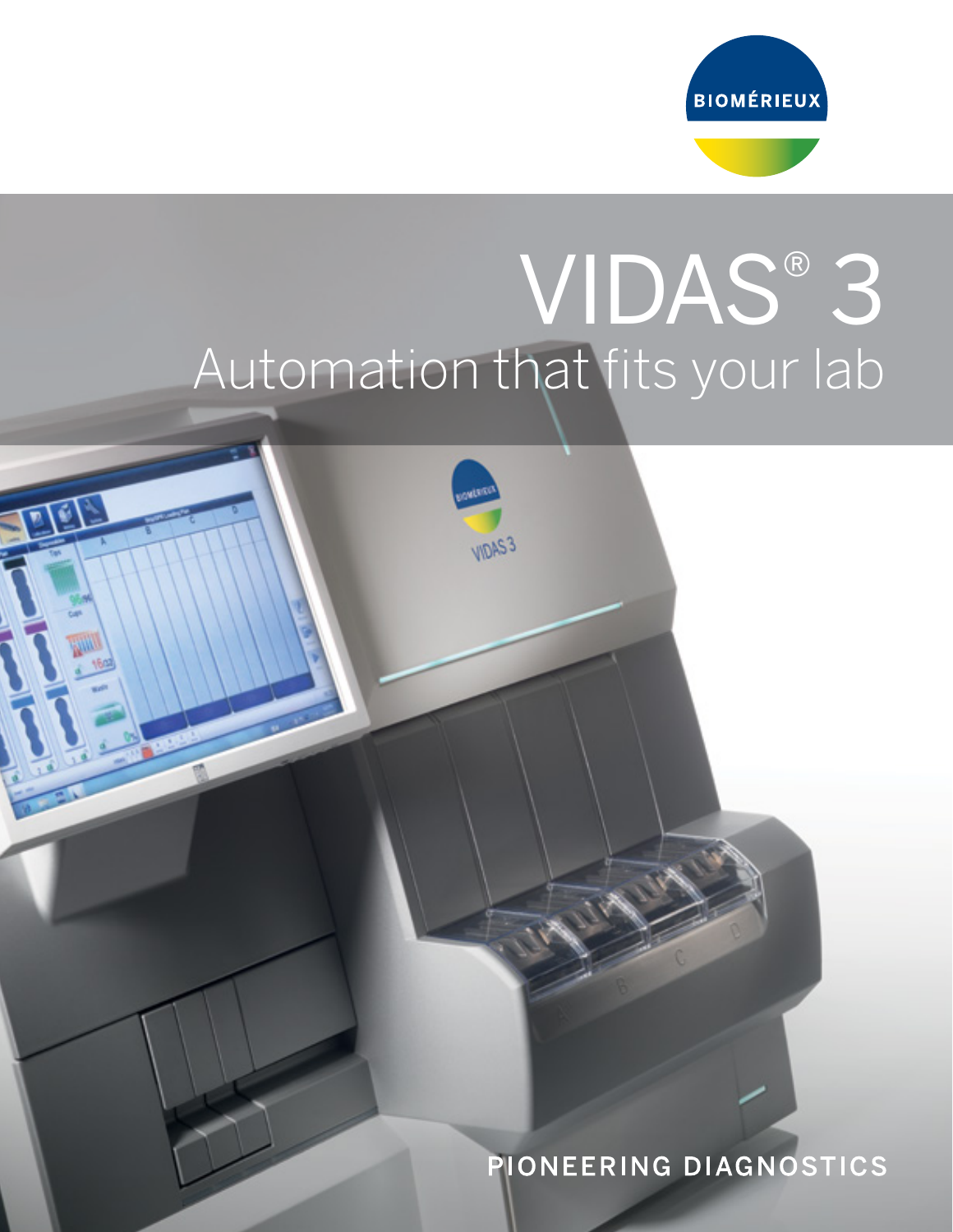

## VIDAS® 3 Automation that fits your lab

VIDAS3

 $\vec{v}$ 

PIONEERING DIAGNOSTICS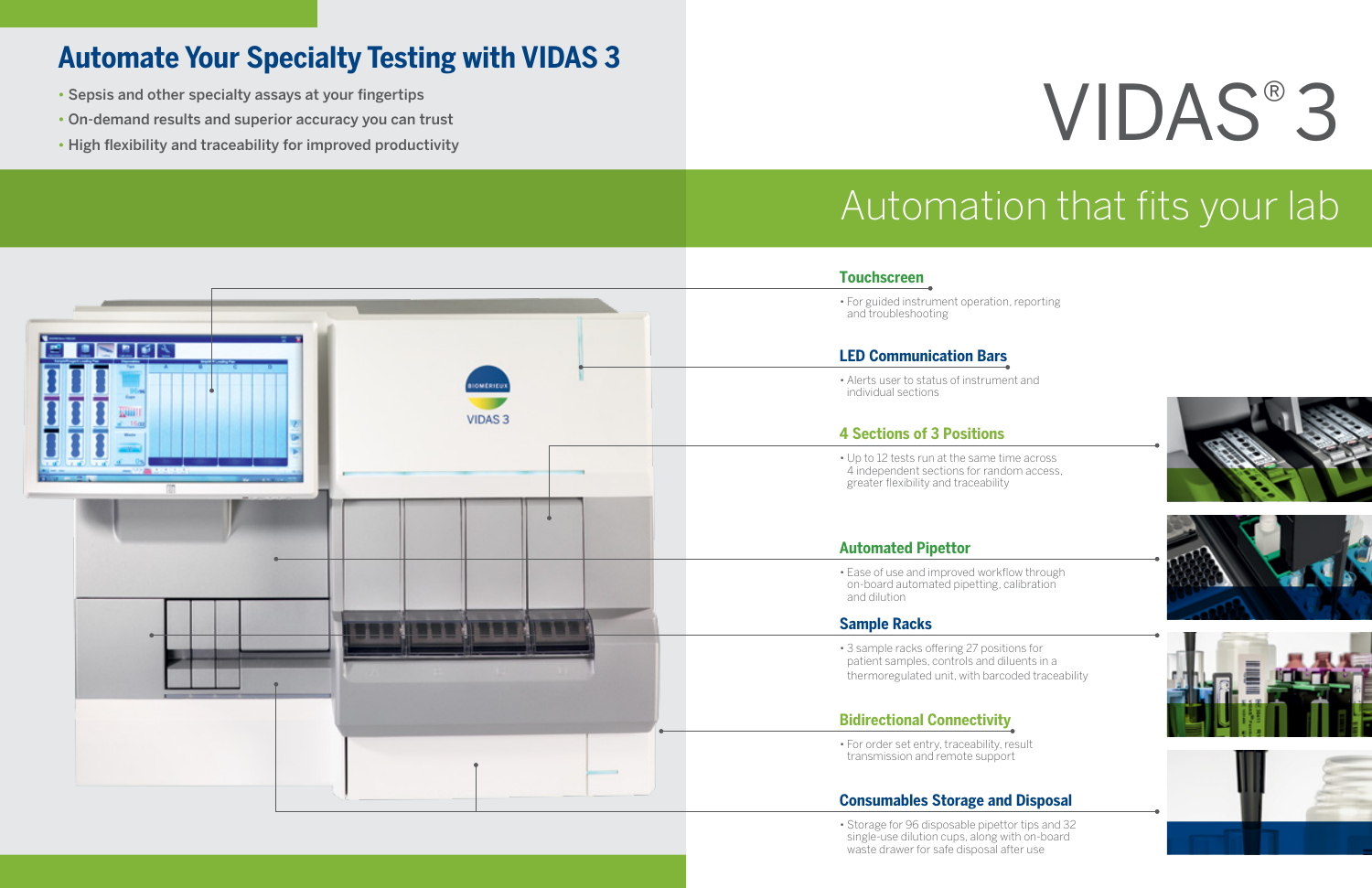### **Automate Your Specialty Testing with VIDAS 3**

- Sepsis and other specialty assays at your fingertips
- On-demand results and superior accuracy you can trust
- 

## Automation that fits your lab

• Storage for 96 disposable pipettor tips and 32 single-use dilution cups, along with on-board waste drawer for safe disposal after use

# • Sepsis and other specialty assays at your fingertips<br>• On-demand results and superior accuracy you can trust<br>• High flexibility and traceability for improved productivity